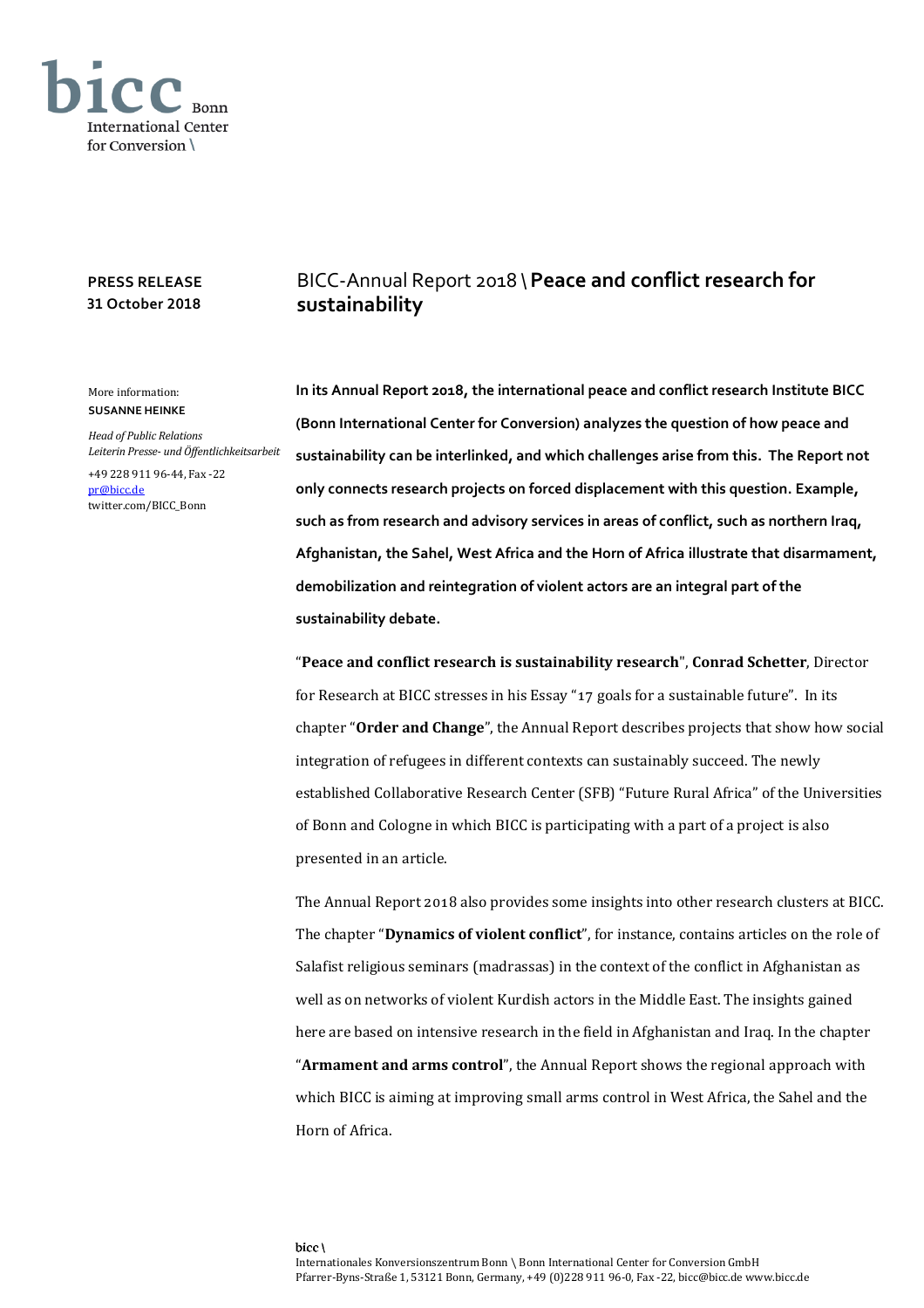

## **PRESS RELEASE 31 October 2018**

## More information: **SUSANNE HEINKE**

*Head of Public Relations Leiterin Presse- und Öffentlichkeitsarbeit*

+49 228 911 96-44, Fax -22 [pr@bicc.de](mailto:pr@bicc.de) twitter.com/BICC\_Bonn

## BICC-Annual Report 2018 \**Peace and conflict research for sustainability**

**In its Annual Report 2018, the international peace and conflict research Institute BICC (Bonn International Center for Conversion) analyzes the question of how peace and sustainability can be interlinked, and which challenges arise from this. The Report not only connects research projects on forced displacement with this question. Example, such as from research and advisory services in areas of conflict, such as northern Iraq, Afghanistan, the Sahel, West Africa and the Horn of Africa illustrate that disarmament, demobilization and reintegration of violent actors are an integral part of the sustainability debate.**

"**Peace and conflict research is sustainability research**", **Conrad Schetter**, Director for Research at BICC stresses in his Essay "17 goals for a sustainable future". In its chapter "**Order and Change**", the Annual Report describes projects that show how social integration of refugees in different contexts can sustainably succeed. The newly established Collaborative Research Center (SFB) "Future Rural Africa" of the Universities of Bonn and Cologne in which BICC is participating with a part of a project is also presented in an article.

The Annual Report 2018 also provides some insights into other research clusters at BICC. The chapter "**Dynamics of violent conflict**", for instance, contains articles on the role of Salafist religious seminars (madrassas) in the context of the conflict in Afghanistan as well as on networks of violent Kurdish actors in the Middle East. The insights gained here are based on intensive research in the field in Afghanistan and Iraq. In the chapter "**Armament and arms control**", the Annual Report shows the regional approach with which BICC is aiming at improving small arms control in West Africa, the Sahel and the Horn of Africa.